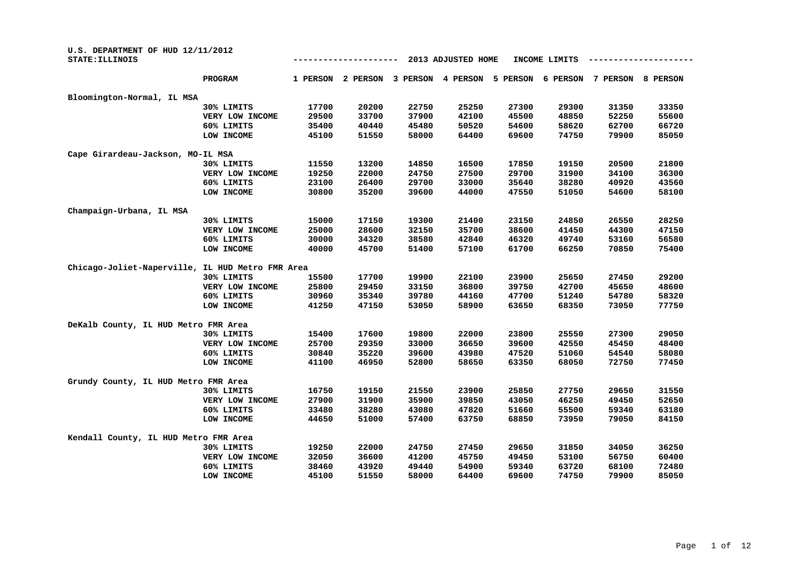| U.S. DEPARTMENT OF HUD 12/11/2012<br>STATE: ILLINOIS |                 |          |          |          | 2013 ADJUSTED HOME |          | INCOME LIMITS |          |          |
|------------------------------------------------------|-----------------|----------|----------|----------|--------------------|----------|---------------|----------|----------|
|                                                      | PROGRAM         | 1 PERSON | 2 PERSON | 3 PERSON | 4 PERSON           | 5 PERSON | 6 PERSON      | 7 PERSON | 8 PERSON |
| Bloomington-Normal, IL MSA                           |                 |          |          |          |                    |          |               |          |          |
|                                                      | 30% LIMITS      | 17700    | 20200    | 22750    | 25250              | 27300    | 29300         | 31350    | 33350    |
|                                                      | VERY LOW INCOME | 29500    | 33700    | 37900    | 42100              | 45500    | 48850         | 52250    | 55600    |
|                                                      | 60% LIMITS      | 35400    | 40440    | 45480    | 50520              | 54600    | 58620         | 62700    | 66720    |
|                                                      | LOW INCOME      | 45100    | 51550    | 58000    | 64400              | 69600    | 74750         | 79900    | 85050    |
| Cape Girardeau-Jackson, MO-IL MSA                    |                 |          |          |          |                    |          |               |          |          |
|                                                      | 30% LIMITS      | 11550    | 13200    | 14850    | 16500              | 17850    | 19150         | 20500    | 21800    |
|                                                      | VERY LOW INCOME | 19250    | 22000    | 24750    | 27500              | 29700    | 31900         | 34100    | 36300    |
|                                                      | 60% LIMITS      | 23100    | 26400    | 29700    | 33000              | 35640    | 38280         | 40920    | 43560    |
|                                                      | LOW INCOME      | 30800    | 35200    | 39600    | 44000              | 47550    | 51050         | 54600    | 58100    |
| Champaign-Urbana, IL MSA                             |                 |          |          |          |                    |          |               |          |          |
|                                                      | 30% LIMITS      | 15000    | 17150    | 19300    | 21400              | 23150    | 24850         | 26550    | 28250    |
|                                                      | VERY LOW INCOME | 25000    | 28600    | 32150    | 35700              | 38600    | 41450         | 44300    | 47150    |
|                                                      | 60% LIMITS      | 30000    | 34320    | 38580    | 42840              | 46320    | 49740         | 53160    | 56580    |
|                                                      | LOW INCOME      | 40000    | 45700    | 51400    | 57100              | 61700    | 66250         | 70850    | 75400    |
| Chicago-Joliet-Naperville, IL HUD Metro FMR Area     |                 |          |          |          |                    |          |               |          |          |
|                                                      | 30% LIMITS      | 15500    | 17700    | 19900    | 22100              | 23900    | 25650         | 27450    | 29200    |
|                                                      | VERY LOW INCOME | 25800    | 29450    | 33150    | 36800              | 39750    | 42700         | 45650    | 48600    |
|                                                      | 60% LIMITS      | 30960    | 35340    | 39780    | 44160              | 47700    | 51240         | 54780    | 58320    |
|                                                      | LOW INCOME      | 41250    | 47150    | 53050    | 58900              | 63650    | 68350         | 73050    | 77750    |
| DeKalb County, IL HUD Metro FMR Area                 |                 |          |          |          |                    |          |               |          |          |
|                                                      | 30% LIMITS      | 15400    | 17600    | 19800    | 22000              | 23800    | 25550         | 27300    | 29050    |
|                                                      | VERY LOW INCOME | 25700    | 29350    | 33000    | 36650              | 39600    | 42550         | 45450    | 48400    |
|                                                      | 60% LIMITS      | 30840    | 35220    | 39600    | 43980              | 47520    | 51060         | 54540    | 58080    |
|                                                      | LOW INCOME      | 41100    | 46950    | 52800    | 58650              | 63350    | 68050         | 72750    | 77450    |
| Grundy County, IL HUD Metro FMR Area                 |                 |          |          |          |                    |          |               |          |          |
|                                                      | 30% LIMITS      | 16750    | 19150    | 21550    | 23900              | 25850    | 27750         | 29650    | 31550    |
|                                                      | VERY LOW INCOME | 27900    | 31900    | 35900    | 39850              | 43050    | 46250         | 49450    | 52650    |
|                                                      | 60% LIMITS      | 33480    | 38280    | 43080    | 47820              | 51660    | 55500         | 59340    | 63180    |
|                                                      | LOW INCOME      | 44650    | 51000    | 57400    | 63750              | 68850    | 73950         | 79050    | 84150    |
| Kendall County, IL HUD Metro FMR Area                |                 |          |          |          |                    |          |               |          |          |
|                                                      | 30% LIMITS      | 19250    | 22000    | 24750    | 27450              | 29650    | 31850         | 34050    | 36250    |
|                                                      | VERY LOW INCOME | 32050    | 36600    | 41200    | 45750              | 49450    | 53100         | 56750    | 60400    |
|                                                      | 60% LIMITS      | 38460    | 43920    | 49440    | 54900              | 59340    | 63720         | 68100    | 72480    |
|                                                      | LOW INCOME      | 45100    | 51550    | 58000    | 64400              | 69600    | 74750         | 79900    | 85050    |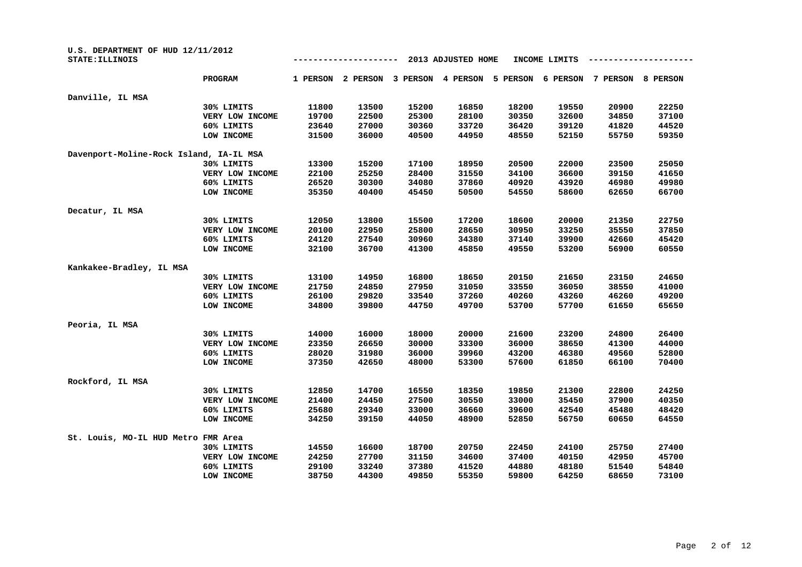| U.S. DEPARTMENT OF HUD 12/11/2012<br>STATE: ILLINOIS |                 |          |          |          | 2013 ADJUSTED HOME |          | INCOME LIMITS |          |          |
|------------------------------------------------------|-----------------|----------|----------|----------|--------------------|----------|---------------|----------|----------|
|                                                      | <b>PROGRAM</b>  | 1 PERSON | 2 PERSON | 3 PERSON | 4 PERSON           | 5 PERSON | 6 PERSON      | 7 PERSON | 8 PERSON |
| Danville, IL MSA                                     |                 |          |          |          |                    |          |               |          |          |
|                                                      | 30% LIMITS      | 11800    | 13500    | 15200    | 16850              | 18200    | 19550         | 20900    | 22250    |
|                                                      | VERY LOW INCOME | 19700    | 22500    | 25300    | 28100              | 30350    | 32600         | 34850    | 37100    |
|                                                      | 60% LIMITS      | 23640    | 27000    | 30360    | 33720              | 36420    | 39120         | 41820    | 44520    |
|                                                      | LOW INCOME      | 31500    | 36000    | 40500    | 44950              | 48550    | 52150         | 55750    | 59350    |
| Davenport-Moline-Rock Island, IA-IL MSA              |                 |          |          |          |                    |          |               |          |          |
|                                                      | 30% LIMITS      | 13300    | 15200    | 17100    | 18950              | 20500    | 22000         | 23500    | 25050    |
|                                                      | VERY LOW INCOME | 22100    | 25250    | 28400    | 31550              | 34100    | 36600         | 39150    | 41650    |
|                                                      | 60% LIMITS      | 26520    | 30300    | 34080    | 37860              | 40920    | 43920         | 46980    | 49980    |
|                                                      | LOW INCOME      | 35350    | 40400    | 45450    | 50500              | 54550    | 58600         | 62650    | 66700    |
| Decatur, IL MSA                                      |                 |          |          |          |                    |          |               |          |          |
|                                                      | 30% LIMITS      | 12050    | 13800    | 15500    | 17200              | 18600    | 20000         | 21350    | 22750    |
|                                                      | VERY LOW INCOME | 20100    | 22950    | 25800    | 28650              | 30950    | 33250         | 35550    | 37850    |
|                                                      | 60% LIMITS      | 24120    | 27540    | 30960    | 34380              | 37140    | 39900         | 42660    | 45420    |
|                                                      | LOW INCOME      | 32100    | 36700    | 41300    | 45850              | 49550    | 53200         | 56900    | 60550    |
| Kankakee-Bradley, IL MSA                             |                 |          |          |          |                    |          |               |          |          |
|                                                      | 30% LIMITS      | 13100    | 14950    | 16800    | 18650              | 20150    | 21650         | 23150    | 24650    |
|                                                      | VERY LOW INCOME | 21750    | 24850    | 27950    | 31050              | 33550    | 36050         | 38550    | 41000    |
|                                                      | 60% LIMITS      | 26100    | 29820    | 33540    | 37260              | 40260    | 43260         | 46260    | 49200    |
|                                                      | LOW INCOME      | 34800    | 39800    | 44750    | 49700              | 53700    | 57700         | 61650    | 65650    |
| Peoria, IL MSA                                       |                 |          |          |          |                    |          |               |          |          |
|                                                      | 30% LIMITS      | 14000    | 16000    | 18000    | 20000              | 21600    | 23200         | 24800    | 26400    |
|                                                      | VERY LOW INCOME | 23350    | 26650    | 30000    | 33300              | 36000    | 38650         | 41300    | 44000    |
|                                                      | 60% LIMITS      | 28020    | 31980    | 36000    | 39960              | 43200    | 46380         | 49560    | 52800    |
|                                                      | LOW INCOME      | 37350    | 42650    | 48000    | 53300              | 57600    | 61850         | 66100    | 70400    |
| Rockford, IL MSA                                     |                 |          |          |          |                    |          |               |          |          |
|                                                      | 30% LIMITS      | 12850    | 14700    | 16550    | 18350              | 19850    | 21300         | 22800    | 24250    |
|                                                      | VERY LOW INCOME | 21400    | 24450    | 27500    | 30550              | 33000    | 35450         | 37900    | 40350    |
|                                                      | 60% LIMITS      | 25680    | 29340    | 33000    | 36660              | 39600    | 42540         | 45480    | 48420    |
|                                                      | LOW INCOME      | 34250    | 39150    | 44050    | 48900              | 52850    | 56750         | 60650    | 64550    |
| St. Louis, MO-IL HUD Metro FMR Area                  |                 |          |          |          |                    |          |               |          |          |
|                                                      | 30% LIMITS      | 14550    | 16600    | 18700    | 20750              | 22450    | 24100         | 25750    | 27400    |
|                                                      | VERY LOW INCOME | 24250    | 27700    | 31150    | 34600              | 37400    | 40150         | 42950    | 45700    |
|                                                      | 60% LIMITS      | 29100    | 33240    | 37380    | 41520              | 44880    | 48180         | 51540    | 54840    |
|                                                      | LOW INCOME      | 38750    | 44300    | 49850    | 55350              | 59800    | 64250         | 68650    | 73100    |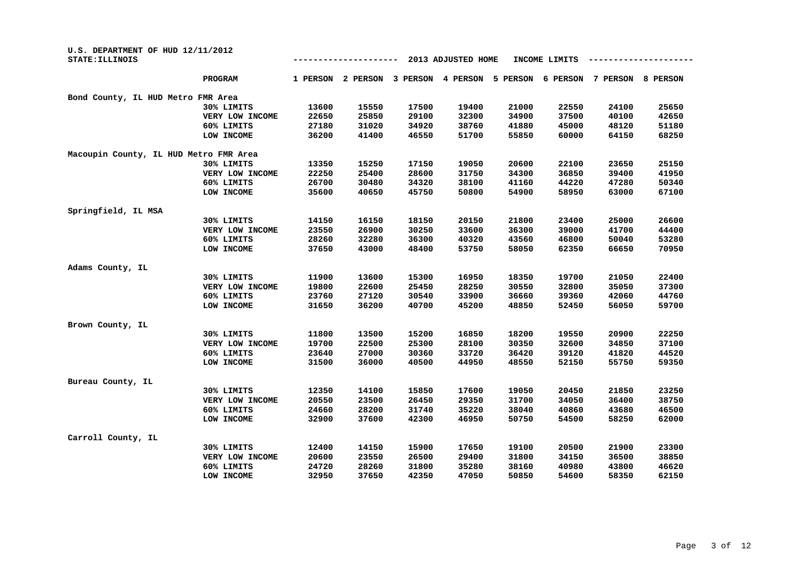| U.S. DEPARTMENT OF HUD 12/11/2012<br>STATE: ILLINOIS |                 |          |          |          | 2013 ADJUSTED HOME |          | INCOME LIMITS |          |          |
|------------------------------------------------------|-----------------|----------|----------|----------|--------------------|----------|---------------|----------|----------|
|                                                      | <b>PROGRAM</b>  | 1 PERSON | 2 PERSON | 3 PERSON | 4 PERSON           | 5 PERSON | 6 PERSON      | 7 PERSON | 8 PERSON |
| Bond County, IL HUD Metro FMR Area                   |                 |          |          |          |                    |          |               |          |          |
|                                                      | 30% LIMITS      | 13600    | 15550    | 17500    | 19400              | 21000    | 22550         | 24100    | 25650    |
|                                                      | VERY LOW INCOME | 22650    | 25850    | 29100    | 32300              | 34900    | 37500         | 40100    | 42650    |
|                                                      | 60% LIMITS      | 27180    | 31020    | 34920    | 38760              | 41880    | 45000         | 48120    | 51180    |
|                                                      | LOW INCOME      | 36200    | 41400    | 46550    | 51700              | 55850    | 60000         | 64150    | 68250    |
| Macoupin County, IL HUD Metro FMR Area               |                 |          |          |          |                    |          |               |          |          |
|                                                      | 30% LIMITS      | 13350    | 15250    | 17150    | 19050              | 20600    | 22100         | 23650    | 25150    |
|                                                      | VERY LOW INCOME | 22250    | 25400    | 28600    | 31750              | 34300    | 36850         | 39400    | 41950    |
|                                                      | 60% LIMITS      | 26700    | 30480    | 34320    | 38100              | 41160    | 44220         | 47280    | 50340    |
|                                                      | LOW INCOME      | 35600    | 40650    | 45750    | 50800              | 54900    | 58950         | 63000    | 67100    |
| Springfield, IL MSA                                  |                 |          |          |          |                    |          |               |          |          |
|                                                      | 30% LIMITS      | 14150    | 16150    | 18150    | 20150              | 21800    | 23400         | 25000    | 26600    |
|                                                      | VERY LOW INCOME | 23550    | 26900    | 30250    | 33600              | 36300    | 39000         | 41700    | 44400    |
|                                                      | 60% LIMITS      | 28260    | 32280    | 36300    | 40320              | 43560    | 46800         | 50040    | 53280    |
|                                                      | LOW INCOME      | 37650    | 43000    | 48400    | 53750              | 58050    | 62350         | 66650    | 70950    |
| Adams County, IL                                     |                 |          |          |          |                    |          |               |          |          |
|                                                      | 30% LIMITS      | 11900    | 13600    | 15300    | 16950              | 18350    | 19700         | 21050    | 22400    |
|                                                      | VERY LOW INCOME | 19800    | 22600    | 25450    | 28250              | 30550    | 32800         | 35050    | 37300    |
|                                                      | 60% LIMITS      | 23760    | 27120    | 30540    | 33900              | 36660    | 39360         | 42060    | 44760    |
|                                                      | LOW INCOME      | 31650    | 36200    | 40700    | 45200              | 48850    | 52450         | 56050    | 59700    |
| Brown County, IL                                     |                 |          |          |          |                    |          |               |          |          |
|                                                      | 30% LIMITS      | 11800    | 13500    | 15200    | 16850              | 18200    | 19550         | 20900    | 22250    |
|                                                      | VERY LOW INCOME | 19700    | 22500    | 25300    | 28100              | 30350    | 32600         | 34850    | 37100    |
|                                                      | 60% LIMITS      | 23640    | 27000    | 30360    | 33720              | 36420    | 39120         | 41820    | 44520    |
|                                                      | LOW INCOME      | 31500    | 36000    | 40500    | 44950              | 48550    | 52150         | 55750    | 59350    |
| Bureau County, IL                                    |                 |          |          |          |                    |          |               |          |          |
|                                                      | 30% LIMITS      | 12350    | 14100    | 15850    | 17600              | 19050    | 20450         | 21850    | 23250    |
|                                                      | VERY LOW INCOME | 20550    | 23500    | 26450    | 29350              | 31700    | 34050         | 36400    | 38750    |
|                                                      | 60% LIMITS      | 24660    | 28200    | 31740    | 35220              | 38040    | 40860         | 43680    | 46500    |
|                                                      | LOW INCOME      | 32900    | 37600    | 42300    | 46950              | 50750    | 54500         | 58250    | 62000    |
| Carroll County, IL                                   |                 |          |          |          |                    |          |               |          |          |
|                                                      | 30% LIMITS      | 12400    | 14150    | 15900    | 17650              | 19100    | 20500         | 21900    | 23300    |
|                                                      | VERY LOW INCOME | 20600    | 23550    | 26500    | 29400              | 31800    | 34150         | 36500    | 38850    |
|                                                      | 60% LIMITS      | 24720    | 28260    | 31800    | 35280              | 38160    | 40980         | 43800    | 46620    |
|                                                      | LOW INCOME      | 32950    | 37650    | 42350    | 47050              | 50850    | 54600         | 58350    | 62150    |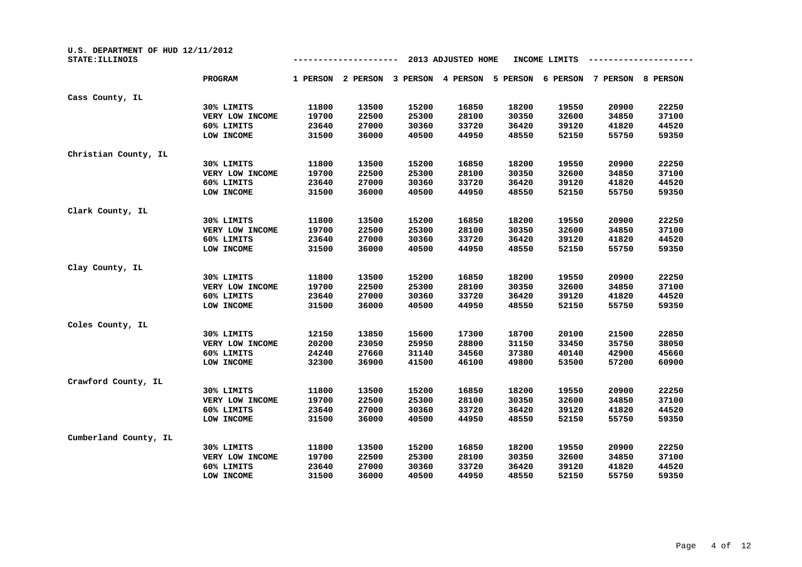| U.S. DEPARTMENT OF HUD 12/11/2012<br>STATE: ILLINOIS |                 | 2013 ADJUSTED HOME<br>INCOME LIMITS |          |          |          |          |          |          |          |
|------------------------------------------------------|-----------------|-------------------------------------|----------|----------|----------|----------|----------|----------|----------|
|                                                      | <b>PROGRAM</b>  | 1 PERSON                            | 2 PERSON | 3 PERSON | 4 PERSON | 5 PERSON | 6 PERSON | 7 PERSON | 8 PERSON |
| Cass County, IL                                      |                 |                                     |          |          |          |          |          |          |          |
|                                                      | 30% LIMITS      | 11800                               | 13500    | 15200    | 16850    | 18200    | 19550    | 20900    | 22250    |
|                                                      | VERY LOW INCOME | 19700                               | 22500    | 25300    | 28100    | 30350    | 32600    | 34850    | 37100    |
|                                                      | 60% LIMITS      | 23640                               | 27000    | 30360    | 33720    | 36420    | 39120    | 41820    | 44520    |
|                                                      | LOW INCOME      | 31500                               | 36000    | 40500    | 44950    | 48550    | 52150    | 55750    | 59350    |
| Christian County, IL                                 |                 |                                     |          |          |          |          |          |          |          |
|                                                      | 30% LIMITS      | 11800                               | 13500    | 15200    | 16850    | 18200    | 19550    | 20900    | 22250    |
|                                                      | VERY LOW INCOME | 19700                               | 22500    | 25300    | 28100    | 30350    | 32600    | 34850    | 37100    |
|                                                      | 60% LIMITS      | 23640                               | 27000    | 30360    | 33720    | 36420    | 39120    | 41820    | 44520    |
|                                                      | LOW INCOME      | 31500                               | 36000    | 40500    | 44950    | 48550    | 52150    | 55750    | 59350    |
| Clark County, IL                                     |                 |                                     |          |          |          |          |          |          |          |
|                                                      | 30% LIMITS      | 11800                               | 13500    | 15200    | 16850    | 18200    | 19550    | 20900    | 22250    |
|                                                      | VERY LOW INCOME | 19700                               | 22500    | 25300    | 28100    | 30350    | 32600    | 34850    | 37100    |
|                                                      | 60% LIMITS      | 23640                               | 27000    | 30360    | 33720    | 36420    | 39120    | 41820    | 44520    |
|                                                      | LOW INCOME      | 31500                               | 36000    | 40500    | 44950    | 48550    | 52150    | 55750    | 59350    |
| Clay County, IL                                      |                 |                                     |          |          |          |          |          |          |          |
|                                                      | 30% LIMITS      | 11800                               | 13500    | 15200    | 16850    | 18200    | 19550    | 20900    | 22250    |
|                                                      | VERY LOW INCOME | 19700                               | 22500    | 25300    | 28100    | 30350    | 32600    | 34850    | 37100    |
|                                                      | 60% LIMITS      | 23640                               | 27000    | 30360    | 33720    | 36420    | 39120    | 41820    | 44520    |
|                                                      | LOW INCOME      | 31500                               | 36000    | 40500    | 44950    | 48550    | 52150    | 55750    | 59350    |
| Coles County, IL                                     |                 |                                     |          |          |          |          |          |          |          |
|                                                      | 30% LIMITS      | 12150                               | 13850    | 15600    | 17300    | 18700    | 20100    | 21500    | 22850    |
|                                                      | VERY LOW INCOME | 20200                               | 23050    | 25950    | 28800    | 31150    | 33450    | 35750    | 38050    |
|                                                      | 60% LIMITS      | 24240                               | 27660    | 31140    | 34560    | 37380    | 40140    | 42900    | 45660    |
|                                                      | LOW INCOME      | 32300                               | 36900    | 41500    | 46100    | 49800    | 53500    | 57200    | 60900    |
| Crawford County, IL                                  |                 |                                     |          |          |          |          |          |          |          |
|                                                      | 30% LIMITS      | 11800                               | 13500    | 15200    | 16850    | 18200    | 19550    | 20900    | 22250    |
|                                                      | VERY LOW INCOME | 19700                               | 22500    | 25300    | 28100    | 30350    | 32600    | 34850    | 37100    |
|                                                      | 60% LIMITS      | 23640                               | 27000    | 30360    | 33720    | 36420    | 39120    | 41820    | 44520    |
|                                                      | LOW INCOME      | 31500                               | 36000    | 40500    | 44950    | 48550    | 52150    | 55750    | 59350    |
| Cumberland County, IL                                |                 |                                     |          |          |          |          |          |          |          |
|                                                      | 30% LIMITS      | 11800                               | 13500    | 15200    | 16850    | 18200    | 19550    | 20900    | 22250    |
|                                                      | VERY LOW INCOME | 19700                               | 22500    | 25300    | 28100    | 30350    | 32600    | 34850    | 37100    |
|                                                      | 60% LIMITS      | 23640                               | 27000    | 30360    | 33720    | 36420    | 39120    | 41820    | 44520    |
|                                                      | LOW INCOME      | 31500                               | 36000    | 40500    | 44950    | 48550    | 52150    | 55750    | 59350    |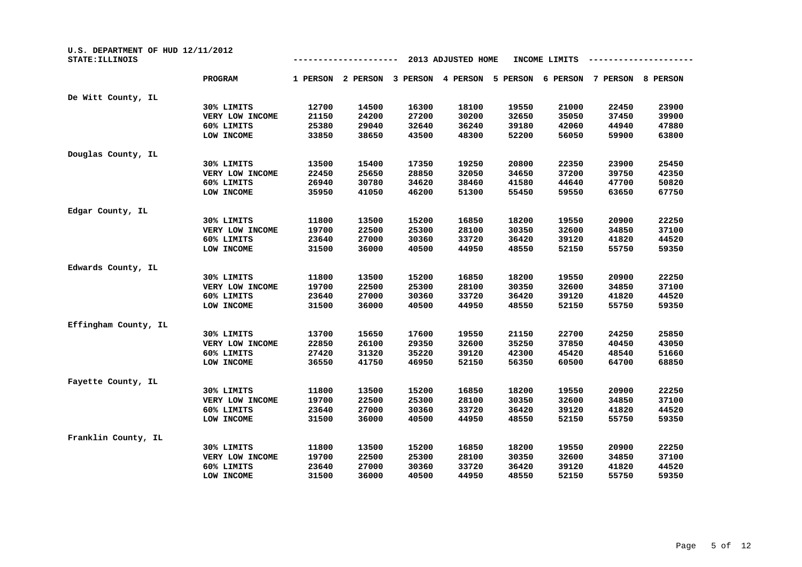| U.S. DEPARTMENT OF HUD 12/11/2012<br>STATE: ILLINOIS |                 |          |          |          | 2013 ADJUSTED HOME |          | INCOME LIMITS |          |          |
|------------------------------------------------------|-----------------|----------|----------|----------|--------------------|----------|---------------|----------|----------|
|                                                      | <b>PROGRAM</b>  | 1 PERSON | 2 PERSON | 3 PERSON | 4 PERSON           | 5 PERSON | 6 PERSON      | 7 PERSON | 8 PERSON |
| De Witt County, IL                                   |                 |          |          |          |                    |          |               |          |          |
|                                                      | 30% LIMITS      | 12700    | 14500    | 16300    | 18100              | 19550    | 21000         | 22450    | 23900    |
|                                                      | VERY LOW INCOME | 21150    | 24200    | 27200    | 30200              | 32650    | 35050         | 37450    | 39900    |
|                                                      | 60% LIMITS      | 25380    | 29040    | 32640    | 36240              | 39180    | 42060         | 44940    | 47880    |
|                                                      | LOW INCOME      | 33850    | 38650    | 43500    | 48300              | 52200    | 56050         | 59900    | 63800    |
| Douglas County, IL                                   |                 |          |          |          |                    |          |               |          |          |
|                                                      | 30% LIMITS      | 13500    | 15400    | 17350    | 19250              | 20800    | 22350         | 23900    | 25450    |
|                                                      | VERY LOW INCOME | 22450    | 25650    | 28850    | 32050              | 34650    | 37200         | 39750    | 42350    |
|                                                      | 60% LIMITS      | 26940    | 30780    | 34620    | 38460              | 41580    | 44640         | 47700    | 50820    |
|                                                      | LOW INCOME      | 35950    | 41050    | 46200    | 51300              | 55450    | 59550         | 63650    | 67750    |
| Edgar County, IL                                     |                 |          |          |          |                    |          |               |          |          |
|                                                      | 30% LIMITS      | 11800    | 13500    | 15200    | 16850              | 18200    | 19550         | 20900    | 22250    |
|                                                      | VERY LOW INCOME | 19700    | 22500    | 25300    | 28100              | 30350    | 32600         | 34850    | 37100    |
|                                                      | 60% LIMITS      | 23640    | 27000    | 30360    | 33720              | 36420    | 39120         | 41820    | 44520    |
|                                                      | LOW INCOME      | 31500    | 36000    | 40500    | 44950              | 48550    | 52150         | 55750    | 59350    |
| Edwards County, IL                                   |                 |          |          |          |                    |          |               |          |          |
|                                                      | 30% LIMITS      | 11800    | 13500    | 15200    | 16850              | 18200    | 19550         | 20900    | 22250    |
|                                                      | VERY LOW INCOME | 19700    | 22500    | 25300    | 28100              | 30350    | 32600         | 34850    | 37100    |
|                                                      | 60% LIMITS      | 23640    | 27000    | 30360    | 33720              | 36420    | 39120         | 41820    | 44520    |
|                                                      | LOW INCOME      | 31500    | 36000    | 40500    | 44950              | 48550    | 52150         | 55750    | 59350    |
| Effingham County, IL                                 |                 |          |          |          |                    |          |               |          |          |
|                                                      | 30% LIMITS      | 13700    | 15650    | 17600    | 19550              | 21150    | 22700         | 24250    | 25850    |
|                                                      | VERY LOW INCOME | 22850    | 26100    | 29350    | 32600              | 35250    | 37850         | 40450    | 43050    |
|                                                      | 60% LIMITS      | 27420    | 31320    | 35220    | 39120              | 42300    | 45420         | 48540    | 51660    |
|                                                      | LOW INCOME      | 36550    | 41750    | 46950    | 52150              | 56350    | 60500         | 64700    | 68850    |
| Fayette County, IL                                   |                 |          |          |          |                    |          |               |          |          |
|                                                      | 30% LIMITS      | 11800    | 13500    | 15200    | 16850              | 18200    | 19550         | 20900    | 22250    |
|                                                      | VERY LOW INCOME | 19700    | 22500    | 25300    | 28100              | 30350    | 32600         | 34850    | 37100    |
|                                                      | 60% LIMITS      | 23640    | 27000    | 30360    | 33720              | 36420    | 39120         | 41820    | 44520    |
|                                                      | LOW INCOME      | 31500    | 36000    | 40500    | 44950              | 48550    | 52150         | 55750    | 59350    |
| Franklin County, IL                                  |                 |          |          |          |                    |          |               |          |          |
|                                                      | 30% LIMITS      | 11800    | 13500    | 15200    | 16850              | 18200    | 19550         | 20900    | 22250    |
|                                                      | VERY LOW INCOME | 19700    | 22500    | 25300    | 28100              | 30350    | 32600         | 34850    | 37100    |
|                                                      | 60% LIMITS      | 23640    | 27000    | 30360    | 33720              | 36420    | 39120         | 41820    | 44520    |
|                                                      | LOW INCOME      | 31500    | 36000    | 40500    | 44950              | 48550    | 52150         | 55750    | 59350    |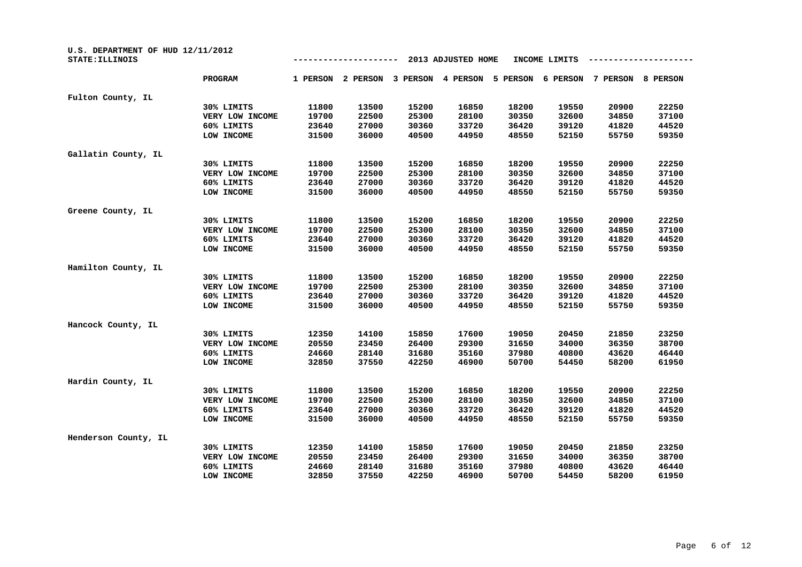| U.S. DEPARTMENT OF HUD 12/11/2012<br>STATE: ILLINOIS |                 |          |          | INCOME LIMITS |          |          |          |          |                 |
|------------------------------------------------------|-----------------|----------|----------|---------------|----------|----------|----------|----------|-----------------|
|                                                      | PROGRAM         | 1 PERSON | 2 PERSON | 3 PERSON      | 4 PERSON | 5 PERSON | 6 PERSON | 7 PERSON | <b>8 PERSON</b> |
| Fulton County, IL                                    |                 |          |          |               |          |          |          |          |                 |
|                                                      | 30% LIMITS      | 11800    | 13500    | 15200         | 16850    | 18200    | 19550    | 20900    | 22250           |
|                                                      | VERY LOW INCOME | 19700    | 22500    | 25300         | 28100    | 30350    | 32600    | 34850    | 37100           |
|                                                      | 60% LIMITS      | 23640    | 27000    | 30360         | 33720    | 36420    | 39120    | 41820    | 44520           |
|                                                      | LOW INCOME      | 31500    | 36000    | 40500         | 44950    | 48550    | 52150    | 55750    | 59350           |
| Gallatin County, IL                                  |                 |          |          |               |          |          |          |          |                 |
|                                                      | 30% LIMITS      | 11800    | 13500    | 15200         | 16850    | 18200    | 19550    | 20900    | 22250           |
|                                                      | VERY LOW INCOME | 19700    | 22500    | 25300         | 28100    | 30350    | 32600    | 34850    | 37100           |
|                                                      | 60% LIMITS      | 23640    | 27000    | 30360         | 33720    | 36420    | 39120    | 41820    | 44520           |
|                                                      | LOW INCOME      | 31500    | 36000    | 40500         | 44950    | 48550    | 52150    | 55750    | 59350           |
| Greene County, IL                                    |                 |          |          |               |          |          |          |          |                 |
|                                                      | 30% LIMITS      | 11800    | 13500    | 15200         | 16850    | 18200    | 19550    | 20900    | 22250           |
|                                                      | VERY LOW INCOME | 19700    | 22500    | 25300         | 28100    | 30350    | 32600    | 34850    | 37100           |
|                                                      | 60% LIMITS      | 23640    | 27000    | 30360         | 33720    | 36420    | 39120    | 41820    | 44520           |
|                                                      | LOW INCOME      | 31500    | 36000    | 40500         | 44950    | 48550    | 52150    | 55750    | 59350           |
| Hamilton County, IL                                  |                 |          |          |               |          |          |          |          |                 |
|                                                      | 30% LIMITS      | 11800    | 13500    | 15200         | 16850    | 18200    | 19550    | 20900    | 22250           |
|                                                      | VERY LOW INCOME | 19700    | 22500    | 25300         | 28100    | 30350    | 32600    | 34850    | 37100           |
|                                                      | 60% LIMITS      | 23640    | 27000    | 30360         | 33720    | 36420    | 39120    | 41820    | 44520           |
|                                                      | LOW INCOME      | 31500    | 36000    | 40500         | 44950    | 48550    | 52150    | 55750    | 59350           |
| Hancock County, IL                                   |                 |          |          |               |          |          |          |          |                 |
|                                                      | 30% LIMITS      | 12350    | 14100    | 15850         | 17600    | 19050    | 20450    | 21850    | 23250           |
|                                                      | VERY LOW INCOME | 20550    | 23450    | 26400         | 29300    | 31650    | 34000    | 36350    | 38700           |
|                                                      | 60% LIMITS      | 24660    | 28140    | 31680         | 35160    | 37980    | 40800    | 43620    | 46440           |
|                                                      | LOW INCOME      | 32850    | 37550    | 42250         | 46900    | 50700    | 54450    | 58200    | 61950           |
| Hardin County, IL                                    |                 |          |          |               |          |          |          |          |                 |
|                                                      | 30% LIMITS      | 11800    | 13500    | 15200         | 16850    | 18200    | 19550    | 20900    | 22250           |
|                                                      | VERY LOW INCOME | 19700    | 22500    | 25300         | 28100    | 30350    | 32600    | 34850    | 37100           |
|                                                      | 60% LIMITS      | 23640    | 27000    | 30360         | 33720    | 36420    | 39120    | 41820    | 44520           |
|                                                      | LOW INCOME      | 31500    | 36000    | 40500         | 44950    | 48550    | 52150    | 55750    | 59350           |
| Henderson County, IL                                 |                 |          |          |               |          |          |          |          |                 |
|                                                      | 30% LIMITS      | 12350    | 14100    | 15850         | 17600    | 19050    | 20450    | 21850    | 23250           |
|                                                      | VERY LOW INCOME | 20550    | 23450    | 26400         | 29300    | 31650    | 34000    | 36350    | 38700           |
|                                                      | 60% LIMITS      | 24660    | 28140    | 31680         | 35160    | 37980    | 40800    | 43620    | 46440           |
|                                                      | LOW INCOME      | 32850    | 37550    | 42250         | 46900    | 50700    | 54450    | 58200    | 61950           |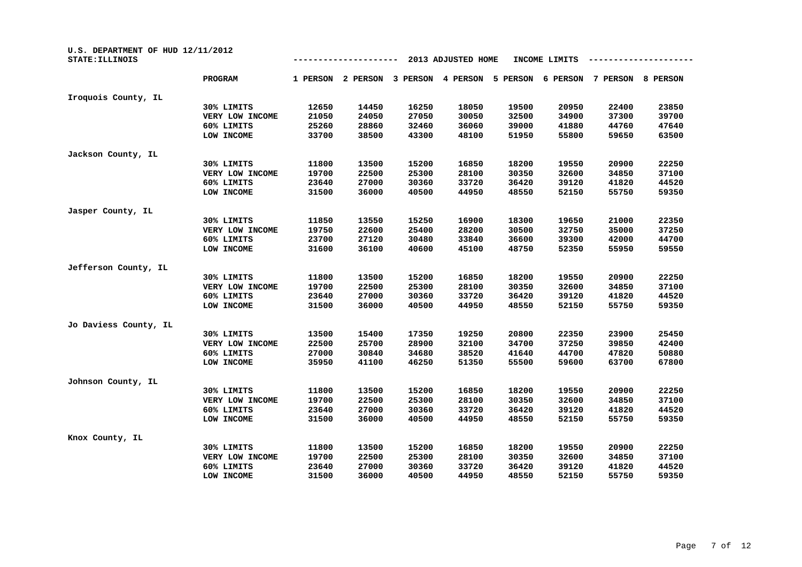| U.S. DEPARTMENT OF HUD 12/11/2012<br>STATE: ILLINOIS |                 |          |          |          | 2013 ADJUSTED HOME |          | INCOME LIMITS |          |          |
|------------------------------------------------------|-----------------|----------|----------|----------|--------------------|----------|---------------|----------|----------|
|                                                      | <b>PROGRAM</b>  | 1 PERSON | 2 PERSON | 3 PERSON | 4 PERSON           | 5 PERSON | 6 PERSON      | 7 PERSON | 8 PERSON |
| Iroquois County, IL                                  |                 |          |          |          |                    |          |               |          |          |
|                                                      | 30% LIMITS      | 12650    | 14450    | 16250    | 18050              | 19500    | 20950         | 22400    | 23850    |
|                                                      | VERY LOW INCOME | 21050    | 24050    | 27050    | 30050              | 32500    | 34900         | 37300    | 39700    |
|                                                      | 60% LIMITS      | 25260    | 28860    | 32460    | 36060              | 39000    | 41880         | 44760    | 47640    |
|                                                      | LOW INCOME      | 33700    | 38500    | 43300    | 48100              | 51950    | 55800         | 59650    | 63500    |
| Jackson County, IL                                   |                 |          |          |          |                    |          |               |          |          |
|                                                      | 30% LIMITS      | 11800    | 13500    | 15200    | 16850              | 18200    | 19550         | 20900    | 22250    |
|                                                      | VERY LOW INCOME | 19700    | 22500    | 25300    | 28100              | 30350    | 32600         | 34850    | 37100    |
|                                                      | 60% LIMITS      | 23640    | 27000    | 30360    | 33720              | 36420    | 39120         | 41820    | 44520    |
|                                                      | LOW INCOME      | 31500    | 36000    | 40500    | 44950              | 48550    | 52150         | 55750    | 59350    |
| Jasper County, IL                                    |                 |          |          |          |                    |          |               |          |          |
|                                                      | 30% LIMITS      | 11850    | 13550    | 15250    | 16900              | 18300    | 19650         | 21000    | 22350    |
|                                                      | VERY LOW INCOME | 19750    | 22600    | 25400    | 28200              | 30500    | 32750         | 35000    | 37250    |
|                                                      | 60% LIMITS      | 23700    | 27120    | 30480    | 33840              | 36600    | 39300         | 42000    | 44700    |
|                                                      | LOW INCOME      | 31600    | 36100    | 40600    | 45100              | 48750    | 52350         | 55950    | 59550    |
| Jefferson County, IL                                 |                 |          |          |          |                    |          |               |          |          |
|                                                      | 30% LIMITS      | 11800    | 13500    | 15200    | 16850              | 18200    | 19550         | 20900    | 22250    |
|                                                      | VERY LOW INCOME | 19700    | 22500    | 25300    | 28100              | 30350    | 32600         | 34850    | 37100    |
|                                                      | 60% LIMITS      | 23640    | 27000    | 30360    | 33720              | 36420    | 39120         | 41820    | 44520    |
|                                                      | LOW INCOME      | 31500    | 36000    | 40500    | 44950              | 48550    | 52150         | 55750    | 59350    |
| Jo Daviess County, IL                                |                 |          |          |          |                    |          |               |          |          |
|                                                      | 30% LIMITS      | 13500    | 15400    | 17350    | 19250              | 20800    | 22350         | 23900    | 25450    |
|                                                      | VERY LOW INCOME | 22500    | 25700    | 28900    | 32100              | 34700    | 37250         | 39850    | 42400    |
|                                                      | 60% LIMITS      | 27000    | 30840    | 34680    | 38520              | 41640    | 44700         | 47820    | 50880    |
|                                                      | LOW INCOME      | 35950    | 41100    | 46250    | 51350              | 55500    | 59600         | 63700    | 67800    |
| Johnson County, IL                                   |                 |          |          |          |                    |          |               |          |          |
|                                                      | 30% LIMITS      | 11800    | 13500    | 15200    | 16850              | 18200    | 19550         | 20900    | 22250    |
|                                                      | VERY LOW INCOME | 19700    | 22500    | 25300    | 28100              | 30350    | 32600         | 34850    | 37100    |
|                                                      | 60% LIMITS      | 23640    | 27000    | 30360    | 33720              | 36420    | 39120         | 41820    | 44520    |
|                                                      | LOW INCOME      | 31500    | 36000    | 40500    | 44950              | 48550    | 52150         | 55750    | 59350    |
| Knox County, IL                                      |                 |          |          |          |                    |          |               |          |          |
|                                                      | 30% LIMITS      | 11800    | 13500    | 15200    | 16850              | 18200    | 19550         | 20900    | 22250    |
|                                                      | VERY LOW INCOME | 19700    | 22500    | 25300    | 28100              | 30350    | 32600         | 34850    | 37100    |
|                                                      | 60% LIMITS      | 23640    | 27000    | 30360    | 33720              | 36420    | 39120         | 41820    | 44520    |
|                                                      | LOW INCOME      | 31500    | 36000    | 40500    | 44950              | 48550    | 52150         | 55750    | 59350    |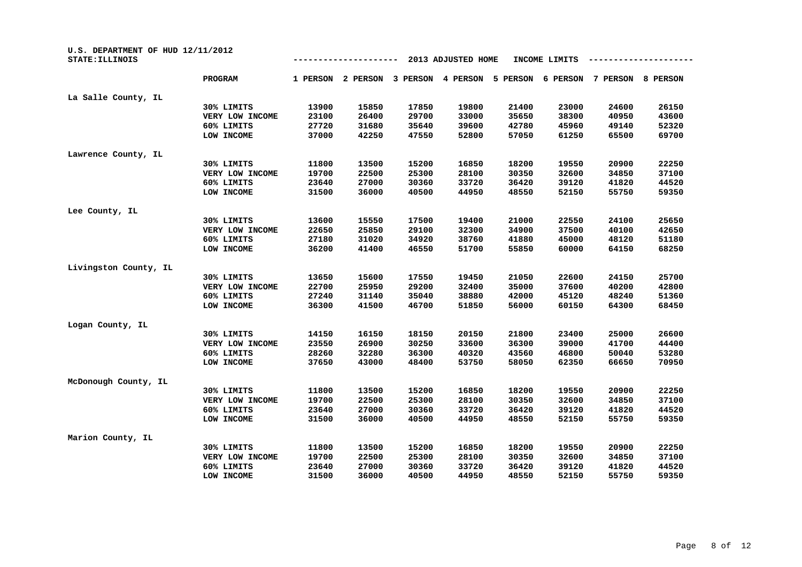| U.S. DEPARTMENT OF HUD 12/11/2012<br>STATE: ILLINOIS |                 |          |          |          | 2013 ADJUSTED HOME |          | INCOME LIMITS |          |          |
|------------------------------------------------------|-----------------|----------|----------|----------|--------------------|----------|---------------|----------|----------|
|                                                      | PROGRAM         | 1 PERSON | 2 PERSON | 3 PERSON | 4 PERSON           | 5 PERSON | 6 PERSON      | 7 PERSON | 8 PERSON |
| La Salle County, IL                                  |                 |          |          |          |                    |          |               |          |          |
|                                                      | 30% LIMITS      | 13900    | 15850    | 17850    | 19800              | 21400    | 23000         | 24600    | 26150    |
|                                                      | VERY LOW INCOME | 23100    | 26400    | 29700    | 33000              | 35650    | 38300         | 40950    | 43600    |
|                                                      | 60% LIMITS      | 27720    | 31680    | 35640    | 39600              | 42780    | 45960         | 49140    | 52320    |
|                                                      | LOW INCOME      | 37000    | 42250    | 47550    | 52800              | 57050    | 61250         | 65500    | 69700    |
| Lawrence County, IL                                  |                 |          |          |          |                    |          |               |          |          |
|                                                      | 30% LIMITS      | 11800    | 13500    | 15200    | 16850              | 18200    | 19550         | 20900    | 22250    |
|                                                      | VERY LOW INCOME | 19700    | 22500    | 25300    | 28100              | 30350    | 32600         | 34850    | 37100    |
|                                                      | 60% LIMITS      | 23640    | 27000    | 30360    | 33720              | 36420    | 39120         | 41820    | 44520    |
|                                                      | LOW INCOME      | 31500    | 36000    | 40500    | 44950              | 48550    | 52150         | 55750    | 59350    |
| Lee County, IL                                       |                 |          |          |          |                    |          |               |          |          |
|                                                      | 30% LIMITS      | 13600    | 15550    | 17500    | 19400              | 21000    | 22550         | 24100    | 25650    |
|                                                      | VERY LOW INCOME | 22650    | 25850    | 29100    | 32300              | 34900    | 37500         | 40100    | 42650    |
|                                                      | 60% LIMITS      | 27180    | 31020    | 34920    | 38760              | 41880    | 45000         | 48120    | 51180    |
|                                                      | LOW INCOME      | 36200    | 41400    | 46550    | 51700              | 55850    | 60000         | 64150    | 68250    |
| Livingston County, IL                                |                 |          |          |          |                    |          |               |          |          |
|                                                      | 30% LIMITS      | 13650    | 15600    | 17550    | 19450              | 21050    | 22600         | 24150    | 25700    |
|                                                      | VERY LOW INCOME | 22700    | 25950    | 29200    | 32400              | 35000    | 37600         | 40200    | 42800    |
|                                                      | 60% LIMITS      | 27240    | 31140    | 35040    | 38880              | 42000    | 45120         | 48240    | 51360    |
|                                                      | LOW INCOME      | 36300    | 41500    | 46700    | 51850              | 56000    | 60150         | 64300    | 68450    |
| Logan County, IL                                     |                 |          |          |          |                    |          |               |          |          |
|                                                      | 30% LIMITS      | 14150    | 16150    | 18150    | 20150              | 21800    | 23400         | 25000    | 26600    |
|                                                      | VERY LOW INCOME | 23550    | 26900    | 30250    | 33600              | 36300    | 39000         | 41700    | 44400    |
|                                                      | 60% LIMITS      | 28260    | 32280    | 36300    | 40320              | 43560    | 46800         | 50040    | 53280    |
|                                                      | LOW INCOME      | 37650    | 43000    | 48400    | 53750              | 58050    | 62350         | 66650    | 70950    |
| McDonough County, IL                                 |                 |          |          |          |                    |          |               |          |          |
|                                                      | 30% LIMITS      | 11800    | 13500    | 15200    | 16850              | 18200    | 19550         | 20900    | 22250    |
|                                                      | VERY LOW INCOME | 19700    | 22500    | 25300    | 28100              | 30350    | 32600         | 34850    | 37100    |
|                                                      | 60% LIMITS      | 23640    | 27000    | 30360    | 33720              | 36420    | 39120         | 41820    | 44520    |
|                                                      | LOW INCOME      | 31500    | 36000    | 40500    | 44950              | 48550    | 52150         | 55750    | 59350    |
| Marion County, IL                                    |                 |          |          |          |                    |          |               |          |          |
|                                                      | 30% LIMITS      | 11800    | 13500    | 15200    | 16850              | 18200    | 19550         | 20900    | 22250    |
|                                                      | VERY LOW INCOME | 19700    | 22500    | 25300    | 28100              | 30350    | 32600         | 34850    | 37100    |
|                                                      | 60% LIMITS      | 23640    | 27000    | 30360    | 33720              | 36420    | 39120         | 41820    | 44520    |
|                                                      | LOW INCOME      | 31500    | 36000    | 40500    | 44950              | 48550    | 52150         | 55750    | 59350    |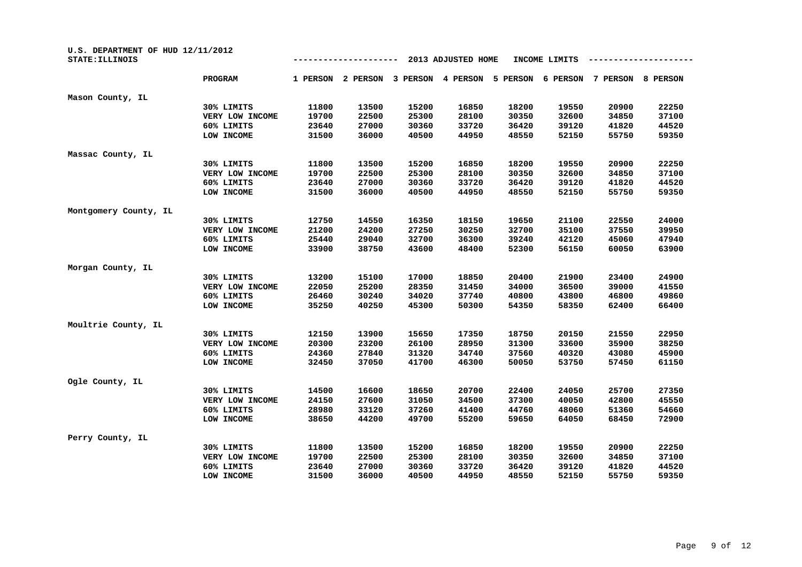| U.S. DEPARTMENT OF HUD 12/11/2012<br>STATE: ILLINOIS |                 |          |          |          | 2013 ADJUSTED HOME |          | INCOME LIMITS |          |          |
|------------------------------------------------------|-----------------|----------|----------|----------|--------------------|----------|---------------|----------|----------|
|                                                      | PROGRAM         | 1 PERSON | 2 PERSON | 3 PERSON | 4 PERSON           | 5 PERSON | 6 PERSON      | 7 PERSON | 8 PERSON |
| Mason County, IL                                     |                 |          |          |          |                    |          |               |          |          |
|                                                      | 30% LIMITS      | 11800    | 13500    | 15200    | 16850              | 18200    | 19550         | 20900    | 22250    |
|                                                      | VERY LOW INCOME | 19700    | 22500    | 25300    | 28100              | 30350    | 32600         | 34850    | 37100    |
|                                                      | 60% LIMITS      | 23640    | 27000    | 30360    | 33720              | 36420    | 39120         | 41820    | 44520    |
|                                                      | LOW INCOME      | 31500    | 36000    | 40500    | 44950              | 48550    | 52150         | 55750    | 59350    |
| Massac County, IL                                    |                 |          |          |          |                    |          |               |          |          |
|                                                      | 30% LIMITS      | 11800    | 13500    | 15200    | 16850              | 18200    | 19550         | 20900    | 22250    |
|                                                      | VERY LOW INCOME | 19700    | 22500    | 25300    | 28100              | 30350    | 32600         | 34850    | 37100    |
|                                                      | 60% LIMITS      | 23640    | 27000    | 30360    | 33720              | 36420    | 39120         | 41820    | 44520    |
|                                                      | LOW INCOME      | 31500    | 36000    | 40500    | 44950              | 48550    | 52150         | 55750    | 59350    |
| Montgomery County, IL                                |                 |          |          |          |                    |          |               |          |          |
|                                                      | 30% LIMITS      | 12750    | 14550    | 16350    | 18150              | 19650    | 21100         | 22550    | 24000    |
|                                                      | VERY LOW INCOME | 21200    | 24200    | 27250    | 30250              | 32700    | 35100         | 37550    | 39950    |
|                                                      | 60% LIMITS      | 25440    | 29040    | 32700    | 36300              | 39240    | 42120         | 45060    | 47940    |
|                                                      | LOW INCOME      | 33900    | 38750    | 43600    | 48400              | 52300    | 56150         | 60050    | 63900    |
| Morgan County, IL                                    |                 |          |          |          |                    |          |               |          |          |
|                                                      | 30% LIMITS      | 13200    | 15100    | 17000    | 18850              | 20400    | 21900         | 23400    | 24900    |
|                                                      | VERY LOW INCOME | 22050    | 25200    | 28350    | 31450              | 34000    | 36500         | 39000    | 41550    |
|                                                      | 60% LIMITS      | 26460    | 30240    | 34020    | 37740              | 40800    | 43800         | 46800    | 49860    |
|                                                      | LOW INCOME      | 35250    | 40250    | 45300    | 50300              | 54350    | 58350         | 62400    | 66400    |
| Moultrie County, IL                                  |                 |          |          |          |                    |          |               |          |          |
|                                                      | 30% LIMITS      | 12150    | 13900    | 15650    | 17350              | 18750    | 20150         | 21550    | 22950    |
|                                                      | VERY LOW INCOME | 20300    | 23200    | 26100    | 28950              | 31300    | 33600         | 35900    | 38250    |
|                                                      | 60% LIMITS      | 24360    | 27840    | 31320    | 34740              | 37560    | 40320         | 43080    | 45900    |
|                                                      | LOW INCOME      | 32450    | 37050    | 41700    | 46300              | 50050    | 53750         | 57450    | 61150    |
| Ogle County, IL                                      |                 |          |          |          |                    |          |               |          |          |
|                                                      | 30% LIMITS      | 14500    | 16600    | 18650    | 20700              | 22400    | 24050         | 25700    | 27350    |
|                                                      | VERY LOW INCOME | 24150    | 27600    | 31050    | 34500              | 37300    | 40050         | 42800    | 45550    |
|                                                      | 60% LIMITS      | 28980    | 33120    | 37260    | 41400              | 44760    | 48060         | 51360    | 54660    |
|                                                      | LOW INCOME      | 38650    | 44200    | 49700    | 55200              | 59650    | 64050         | 68450    | 72900    |
| Perry County, IL                                     |                 |          |          |          |                    |          |               |          |          |
|                                                      | 30% LIMITS      | 11800    | 13500    | 15200    | 16850              | 18200    | 19550         | 20900    | 22250    |
|                                                      | VERY LOW INCOME | 19700    | 22500    | 25300    | 28100              | 30350    | 32600         | 34850    | 37100    |
|                                                      | 60% LIMITS      | 23640    | 27000    | 30360    | 33720              | 36420    | 39120         | 41820    | 44520    |
|                                                      | LOW INCOME      | 31500    | 36000    | 40500    | 44950              | 48550    | 52150         | 55750    | 59350    |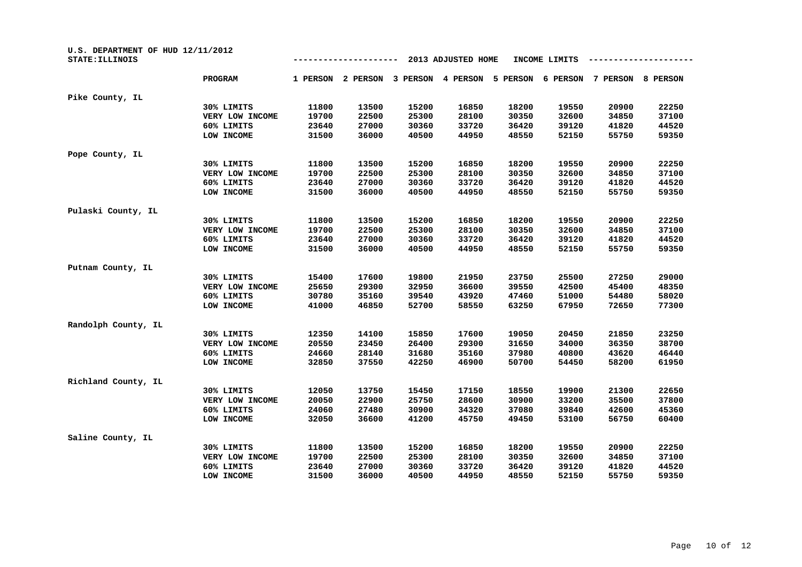| U.S. DEPARTMENT OF HUD 12/11/2012<br>STATE: ILLINOIS |                 |          |          |          | 2013 ADJUSTED HOME |          | INCOME LIMITS |          |          |
|------------------------------------------------------|-----------------|----------|----------|----------|--------------------|----------|---------------|----------|----------|
|                                                      | PROGRAM         | 1 PERSON | 2 PERSON | 3 PERSON | 4 PERSON           | 5 PERSON | 6 PERSON      | 7 PERSON | 8 PERSON |
| Pike County, IL                                      |                 |          |          |          |                    |          |               |          |          |
|                                                      | 30% LIMITS      | 11800    | 13500    | 15200    | 16850              | 18200    | 19550         | 20900    | 22250    |
|                                                      | VERY LOW INCOME | 19700    | 22500    | 25300    | 28100              | 30350    | 32600         | 34850    | 37100    |
|                                                      | 60% LIMITS      | 23640    | 27000    | 30360    | 33720              | 36420    | 39120         | 41820    | 44520    |
|                                                      | LOW INCOME      | 31500    | 36000    | 40500    | 44950              | 48550    | 52150         | 55750    | 59350    |
| Pope County, IL                                      |                 |          |          |          |                    |          |               |          |          |
|                                                      | 30% LIMITS      | 11800    | 13500    | 15200    | 16850              | 18200    | 19550         | 20900    | 22250    |
|                                                      | VERY LOW INCOME | 19700    | 22500    | 25300    | 28100              | 30350    | 32600         | 34850    | 37100    |
|                                                      | 60% LIMITS      | 23640    | 27000    | 30360    | 33720              | 36420    | 39120         | 41820    | 44520    |
|                                                      | LOW INCOME      | 31500    | 36000    | 40500    | 44950              | 48550    | 52150         | 55750    | 59350    |
| Pulaski County, IL                                   |                 |          |          |          |                    |          |               |          |          |
|                                                      | 30% LIMITS      | 11800    | 13500    | 15200    | 16850              | 18200    | 19550         | 20900    | 22250    |
|                                                      | VERY LOW INCOME | 19700    | 22500    | 25300    | 28100              | 30350    | 32600         | 34850    | 37100    |
|                                                      | 60% LIMITS      | 23640    | 27000    | 30360    | 33720              | 36420    | 39120         | 41820    | 44520    |
|                                                      | LOW INCOME      | 31500    | 36000    | 40500    | 44950              | 48550    | 52150         | 55750    | 59350    |
| Putnam County, IL                                    |                 |          |          |          |                    |          |               |          |          |
|                                                      | 30% LIMITS      | 15400    | 17600    | 19800    | 21950              | 23750    | 25500         | 27250    | 29000    |
|                                                      | VERY LOW INCOME | 25650    | 29300    | 32950    | 36600              | 39550    | 42500         | 45400    | 48350    |
|                                                      | 60% LIMITS      | 30780    | 35160    | 39540    | 43920              | 47460    | 51000         | 54480    | 58020    |
|                                                      | LOW INCOME      | 41000    | 46850    | 52700    | 58550              | 63250    | 67950         | 72650    | 77300    |
| Randolph County, IL                                  |                 |          |          |          |                    |          |               |          |          |
|                                                      | 30% LIMITS      | 12350    | 14100    | 15850    | 17600              | 19050    | 20450         | 21850    | 23250    |
|                                                      | VERY LOW INCOME | 20550    | 23450    | 26400    | 29300              | 31650    | 34000         | 36350    | 38700    |
|                                                      | 60% LIMITS      | 24660    | 28140    | 31680    | 35160              | 37980    | 40800         | 43620    | 46440    |
|                                                      | LOW INCOME      | 32850    | 37550    | 42250    | 46900              | 50700    | 54450         | 58200    | 61950    |
| Richland County, IL                                  |                 |          |          |          |                    |          |               |          |          |
|                                                      | 30% LIMITS      | 12050    | 13750    | 15450    | 17150              | 18550    | 19900         | 21300    | 22650    |
|                                                      | VERY LOW INCOME | 20050    | 22900    | 25750    | 28600              | 30900    | 33200         | 35500    | 37800    |
|                                                      | 60% LIMITS      | 24060    | 27480    | 30900    | 34320              | 37080    | 39840         | 42600    | 45360    |
|                                                      | LOW INCOME      | 32050    | 36600    | 41200    | 45750              | 49450    | 53100         | 56750    | 60400    |
| Saline County, IL                                    |                 |          |          |          |                    |          |               |          |          |
|                                                      | 30% LIMITS      | 11800    | 13500    | 15200    | 16850              | 18200    | 19550         | 20900    | 22250    |
|                                                      | VERY LOW INCOME | 19700    | 22500    | 25300    | 28100              | 30350    | 32600         | 34850    | 37100    |
|                                                      | 60% LIMITS      | 23640    | 27000    | 30360    | 33720              | 36420    | 39120         | 41820    | 44520    |
|                                                      | LOW INCOME      | 31500    | 36000    | 40500    | 44950              | 48550    | 52150         | 55750    | 59350    |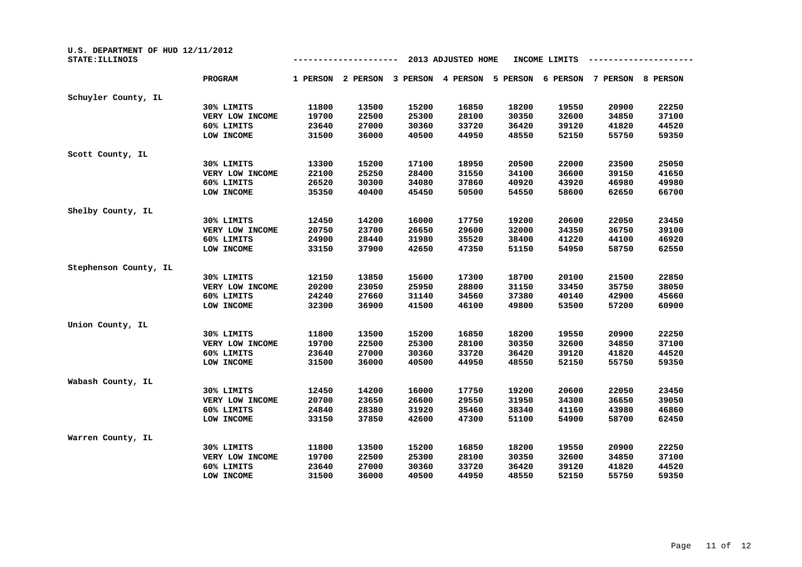| U.S. DEPARTMENT OF HUD 12/11/2012<br>STATE: ILLINOIS |                 |          |          |          | 2013 ADJUSTED HOME |          | INCOME LIMITS |          |          |
|------------------------------------------------------|-----------------|----------|----------|----------|--------------------|----------|---------------|----------|----------|
|                                                      | PROGRAM         | 1 PERSON | 2 PERSON | 3 PERSON | 4 PERSON           | 5 PERSON | 6 PERSON      | 7 PERSON | 8 PERSON |
| Schuyler County, IL                                  |                 |          |          |          |                    |          |               |          |          |
|                                                      | 30% LIMITS      | 11800    | 13500    | 15200    | 16850              | 18200    | 19550         | 20900    | 22250    |
|                                                      | VERY LOW INCOME | 19700    | 22500    | 25300    | 28100              | 30350    | 32600         | 34850    | 37100    |
|                                                      | 60% LIMITS      | 23640    | 27000    | 30360    | 33720              | 36420    | 39120         | 41820    | 44520    |
|                                                      | LOW INCOME      | 31500    | 36000    | 40500    | 44950              | 48550    | 52150         | 55750    | 59350    |
| Scott County, IL                                     |                 |          |          |          |                    |          |               |          |          |
|                                                      | 30% LIMITS      | 13300    | 15200    | 17100    | 18950              | 20500    | 22000         | 23500    | 25050    |
|                                                      | VERY LOW INCOME | 22100    | 25250    | 28400    | 31550              | 34100    | 36600         | 39150    | 41650    |
|                                                      | 60% LIMITS      | 26520    | 30300    | 34080    | 37860              | 40920    | 43920         | 46980    | 49980    |
|                                                      | LOW INCOME      | 35350    | 40400    | 45450    | 50500              | 54550    | 58600         | 62650    | 66700    |
| Shelby County, IL                                    |                 |          |          |          |                    |          |               |          |          |
|                                                      | 30% LIMITS      | 12450    | 14200    | 16000    | 17750              | 19200    | 20600         | 22050    | 23450    |
|                                                      | VERY LOW INCOME | 20750    | 23700    | 26650    | 29600              | 32000    | 34350         | 36750    | 39100    |
|                                                      | 60% LIMITS      | 24900    | 28440    | 31980    | 35520              | 38400    | 41220         | 44100    | 46920    |
|                                                      | LOW INCOME      | 33150    | 37900    | 42650    | 47350              | 51150    | 54950         | 58750    | 62550    |
| Stephenson County, IL                                |                 |          |          |          |                    |          |               |          |          |
|                                                      | 30% LIMITS      | 12150    | 13850    | 15600    | 17300              | 18700    | 20100         | 21500    | 22850    |
|                                                      | VERY LOW INCOME | 20200    | 23050    | 25950    | 28800              | 31150    | 33450         | 35750    | 38050    |
|                                                      | 60% LIMITS      | 24240    | 27660    | 31140    | 34560              | 37380    | 40140         | 42900    | 45660    |
|                                                      | LOW INCOME      | 32300    | 36900    | 41500    | 46100              | 49800    | 53500         | 57200    | 60900    |
| Union County, IL                                     |                 |          |          |          |                    |          |               |          |          |
|                                                      | 30% LIMITS      | 11800    | 13500    | 15200    | 16850              | 18200    | 19550         | 20900    | 22250    |
|                                                      | VERY LOW INCOME | 19700    | 22500    | 25300    | 28100              | 30350    | 32600         | 34850    | 37100    |
|                                                      | 60% LIMITS      | 23640    | 27000    | 30360    | 33720              | 36420    | 39120         | 41820    | 44520    |
|                                                      | LOW INCOME      | 31500    | 36000    | 40500    | 44950              | 48550    | 52150         | 55750    | 59350    |
| Wabash County, IL                                    |                 |          |          |          |                    |          |               |          |          |
|                                                      | 30% LIMITS      | 12450    | 14200    | 16000    | 17750              | 19200    | 20600         | 22050    | 23450    |
|                                                      | VERY LOW INCOME | 20700    | 23650    | 26600    | 29550              | 31950    | 34300         | 36650    | 39050    |
|                                                      | 60% LIMITS      | 24840    | 28380    | 31920    | 35460              | 38340    | 41160         | 43980    | 46860    |
|                                                      | LOW INCOME      | 33150    | 37850    | 42600    | 47300              | 51100    | 54900         | 58700    | 62450    |
| Warren County, IL                                    |                 |          |          |          |                    |          |               |          |          |
|                                                      | 30% LIMITS      | 11800    | 13500    | 15200    | 16850              | 18200    | 19550         | 20900    | 22250    |
|                                                      | VERY LOW INCOME | 19700    | 22500    | 25300    | 28100              | 30350    | 32600         | 34850    | 37100    |
|                                                      | 60% LIMITS      | 23640    | 27000    | 30360    | 33720              | 36420    | 39120         | 41820    | 44520    |
|                                                      | LOW INCOME      | 31500    | 36000    | 40500    | 44950              | 48550    | 52150         | 55750    | 59350    |